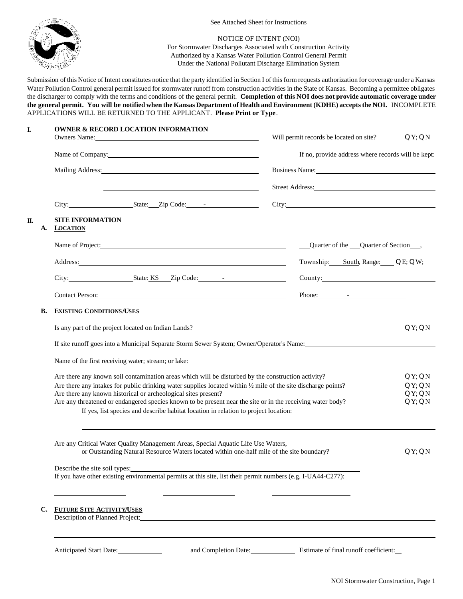

See Attached Sheet for Instructions

## NOTICE OF INTENT (NOI)

For Stormwater Discharges Associated with Construction Activity Authorized by a Kansas Water Pollution Control General Permit Under the National Pollutant Discharge Elimination System

Submission of this Notice of Intent constitutes notice that the party identified in Section I of this form requests authorization for coverage under a Kansas Water Pollution Control general permit issued for stormwater runoff from construction activities in the State of Kansas. Becoming a permittee obligates the discharger to comply with the terms and conditions of the general permit. **Completion of this NOI does not provide automatic coverage under the general permit. You will be notified when the Kansas Department of Health and Environment (KDHE) accepts the NOI.** INCOMPLETE APPLICATIONS WILL BE RETURNED TO THE APPLICANT. **Please Print or Type**.

| I.       | <b>OWNER &amp; RECORD LOCATION INFORMATION</b><br>Owners Name: 2008. [2016] Decree Manual Countries Name:                                                                                                                                                                                                                                                                                                                                                                                             | Will permit records be located on site?<br>QY; QN                                                                                                                                                                                                                                                                                        |                                  |
|----------|-------------------------------------------------------------------------------------------------------------------------------------------------------------------------------------------------------------------------------------------------------------------------------------------------------------------------------------------------------------------------------------------------------------------------------------------------------------------------------------------------------|------------------------------------------------------------------------------------------------------------------------------------------------------------------------------------------------------------------------------------------------------------------------------------------------------------------------------------------|----------------------------------|
|          | Name of Company: Name of Company:                                                                                                                                                                                                                                                                                                                                                                                                                                                                     | If no, provide address where records will be kept:                                                                                                                                                                                                                                                                                       |                                  |
|          | Mailing Address: National Address: National Address: National Address: National Address: National Address: National Address: National Address: National Address: National Address: National Address: National Address: Nationa                                                                                                                                                                                                                                                                        | Business Name: 1988 Contract Contract Contract Contract Contract Contract Contract Contract Contract Contract Contract Contract Contract Contract Contract Contract Contract Contract Contract Contract Contract Contract Cont                                                                                                           |                                  |
|          |                                                                                                                                                                                                                                                                                                                                                                                                                                                                                                       |                                                                                                                                                                                                                                                                                                                                          | Street Address:                  |
|          | City: State: Zip Code: 1                                                                                                                                                                                                                                                                                                                                                                                                                                                                              | City: City:                                                                                                                                                                                                                                                                                                                              |                                  |
| Π.<br>A. | <b>SITE INFORMATION</b><br><b>LOCATION</b>                                                                                                                                                                                                                                                                                                                                                                                                                                                            |                                                                                                                                                                                                                                                                                                                                          |                                  |
|          |                                                                                                                                                                                                                                                                                                                                                                                                                                                                                                       | Quarter of the Quarter of Section ____,                                                                                                                                                                                                                                                                                                  |                                  |
|          | Address: National Address: National Address: National Address: National Address: National Address: National Address: National Address: National Address: National Address: National Address: National Address: National Addres                                                                                                                                                                                                                                                                        | Township: South, Range: Q E; Q W;                                                                                                                                                                                                                                                                                                        |                                  |
| В.       |                                                                                                                                                                                                                                                                                                                                                                                                                                                                                                       | County: New York County:                                                                                                                                                                                                                                                                                                                 |                                  |
|          | Contact Person: 2008 and 2008 and 2008 and 2008 and 2008 and 2008 and 2008 and 2008 and 2008 and 2008 and 2008 and 2008 and 2008 and 2008 and 2008 and 2008 and 2008 and 2008 and 2008 and 2008 and 2008 and 2008 and 2008 and                                                                                                                                                                                                                                                                        | Phone: $\qquad \qquad$ $\qquad$ $\qquad$ $\qquad$ $\qquad$ $\qquad$ $\qquad$ $\qquad$ $\qquad$ $\qquad$ $\qquad$ $\qquad$ $\qquad$ $\qquad$ $\qquad$ $\qquad$ $\qquad$ $\qquad$ $\qquad$ $\qquad$ $\qquad$ $\qquad$ $\qquad$ $\qquad$ $\qquad$ $\qquad$ $\qquad$ $\qquad$ $\qquad$ $\qquad$ $\qquad$ $\qquad$ $\qquad$ $\qquad$ $\qquad$ |                                  |
|          | <b>EXISTING CONDITIONS/USES</b>                                                                                                                                                                                                                                                                                                                                                                                                                                                                       |                                                                                                                                                                                                                                                                                                                                          |                                  |
|          | Is any part of the project located on Indian Lands?                                                                                                                                                                                                                                                                                                                                                                                                                                                   |                                                                                                                                                                                                                                                                                                                                          | QY; QN                           |
|          | If site runoff goes into a Municipal Separate Storm Sewer System; Owner/Operator's Name:                                                                                                                                                                                                                                                                                                                                                                                                              |                                                                                                                                                                                                                                                                                                                                          |                                  |
|          | Name of the first receiving water; stream; or lake: 1992. The stream of the first receiving water; stream; or lake:                                                                                                                                                                                                                                                                                                                                                                                   |                                                                                                                                                                                                                                                                                                                                          |                                  |
|          | Are there any known soil contamination areas which will be disturbed by the construction activity?<br>Are there any intakes for public drinking water supplies located within $\frac{1}{2}$ mile of the site discharge points?<br>Are there any known historical or archeological sites present?<br>Are any threatened or endangered species known to be present near the site or in the receiving water body?<br>If yes, list species and describe habitat location in relation to project location: |                                                                                                                                                                                                                                                                                                                                          | QY;QN<br>QY;QN<br>QY;QN<br>QY:QN |
|          | Are any Critical Water Quality Management Areas, Special Aquatic Life Use Waters,<br>or Outstanding Natural Resource Waters located within one-half mile of the site boundary?<br>If you have other existing environmental permits at this site, list their permit numbers (e.g. I-UA44-C277):                                                                                                                                                                                                        |                                                                                                                                                                                                                                                                                                                                          | QY:QN                            |
| C.       | <b>FUTURE SITE ACTIVITY/USES</b><br>Description of Planned Project:                                                                                                                                                                                                                                                                                                                                                                                                                                   |                                                                                                                                                                                                                                                                                                                                          |                                  |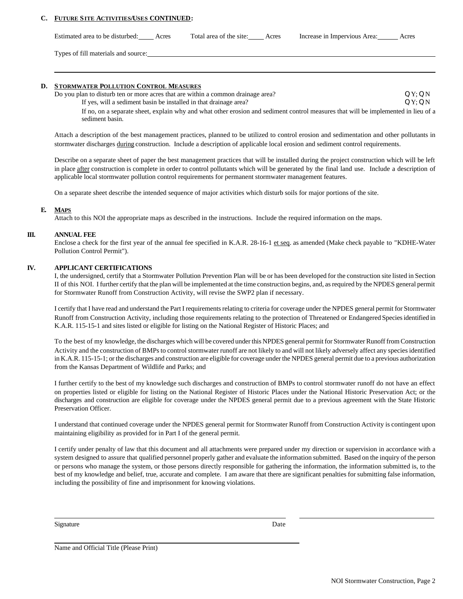## **C. FUTURE SITE ACTIVITIES/USES CONTINUED:**

Estimated area to be disturbed: Acres Total area of the site: Acres Increase in Impervious Area: Acres

Types of fill materials and source:

#### **D. STORMWATER POLLUTION CONTROL MEASURES**

Do you plan to disturb ten or more acres that are within a common drainage area?  $Q Y; Q N$ If yes, will a sediment basin be installed in that drainage area? **Q Y; Q N** Q Y; Q N If no, on a separate sheet, explain why and what other erosion and sediment control measures that will be implemented in lieu of a sediment basin.

Attach a description of the best management practices, planned to be utilized to control erosion and sedimentation and other pollutants in stormwater discharges during construction. Include a description of applicable local erosion and sediment control requirements.

Describe on a separate sheet of paper the best management practices that will be installed during the project construction which will be left in place after construction is complete in order to control pollutants which will be generated by the final land use. Include a description of applicable local stormwater pollution control requirements for permanent stormwater management features.

On a separate sheet describe the intended sequence of major activities which disturb soils for major portions of the site.

#### **E. MAPS**

Attach to this NOI the appropriate maps as described in the instructions. Include the required information on the maps.

#### **III. ANNUAL FEE**

Enclose a check for the first year of the annual fee specified in K.A.R. 28-16-1 et seq. as amended (Make check payable to "KDHE-Water Pollution Control Permit").

### **IV. APPLICANT CERTIFICATIONS**

I, the undersigned, certify that a Stormwater Pollution Prevention Plan will be or has been developed for the construction site listed in Section II of this NOI. I further certify that the plan will be implemented at the time construction begins, and, as required by the NPDES general permit for Stormwater Runoff from Construction Activity, will revise the SWP2 plan if necessary.

I certify that I have read and understand the Part I requirements relating to criteria for coverage under the NPDES general permit for Stormwater Runoff from Construction Activity, including those requirements relating to the protection of Threatened or Endangered Species identified in K.A.R. 115-15-1 and sites listed or eligible for listing on the National Register of Historic Places; and

To the best of my knowledge, the discharges which will be covered under this NPDES general permit for Stormwater Runoff from Construction Activity and the construction of BMPs to control stormwater runoff are not likely to and will not likely adversely affect any species identified in K.A.R. 115-15-1; or the discharges and construction are eligible for coverage under the NPDES general permit due to a previous authorization from the Kansas Department of Wildlife and Parks; and

I further certify to the best of my knowledge such discharges and construction of BMPs to control stormwater runoff do not have an effect on properties listed or eligible for listing on the National Register of Historic Places under the National Historic Preservation Act; or the discharges and construction are eligible for coverage under the NPDES general permit due to a previous agreement with the State Historic Preservation Officer.

I understand that continued coverage under the NPDES general permit for Stormwater Runoff from Construction Activity is contingent upon maintaining eligibility as provided for in Part I of the general permit.

I certify under penalty of law that this document and all attachments were prepared under my direction or supervision in accordance with a system designed to assure that qualified personnel properly gather and evaluate the information submitted. Based on the inquiry of the person or persons who manage the system, or those persons directly responsible for gathering the information, the information submitted is, to the best of my knowledge and belief, true, accurate and complete. I am aware that there are significant penalties for submitting false information, including the possibility of fine and imprisonment for knowing violations.

Signature Date

Name and Official Title (Please Print)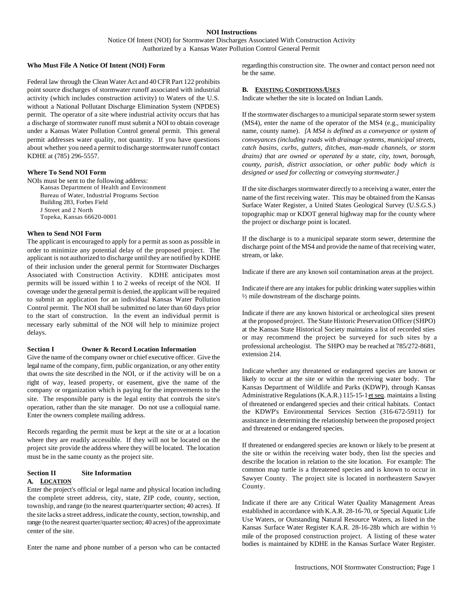## **NOI Instructions**

Notice Of Intent (NOI) for Stormwater Discharges Associated With Construction Activity Authorized by a Kansas Water Pollution Control General Permit

#### **Who Must File A Notice Of Intent (NOI) Form**

Federal law through the Clean Water Act and 40 CFR Part 122 prohibits point source discharges of stormwater runoff associated with industrial activity (which includes construction activity) to Waters of the U.S. without a National Pollutant Discharge Elimination System (NPDES) permit. The operator of a site where industrial activity occurs that has a discharge of stormwater runoff must submit a NOI to obtain coverage under a Kansas Water Pollution Control general permit. This general permit addresses water quality, not quantity. If you have questions about whether you need a permit to discharge stormwater runoff contact KDHE at (785) 296-5557.

#### **Where To Send NOI Form**

NOIs must be sent to the following address: Kansas Department of Health and Environment Bureau of Water, Industrial Programs Section Building 283, Forbes Field J Street and 2 North Topeka, Kansas 66620-0001

## **When to Send NOI Form**

The applicant is encouraged to apply for a permit as soon as possible in order to minimize any potential delay of the proposed project. The applicant is not authorized to discharge until they are notified by KDHE of their inclusion under the general permit for Stormwater Discharges Associated with Construction Activity. KDHE anticipates most permits will be issued within 1 to 2 weeks of receipt of the NOI. If coverage under the general permit is denied, the applicant will be required to submit an application for an individual Kansas Water Pollution Control permit. The NOI shall be submitted no later than 60 days prior to the start of construction. In the event an individual permit is necessary early submittal of the NOI will help to minimize project delays.

#### **Section I Owner & Record Location Information**

Give the name of the company owner or chief executive officer. Give the legal name of the company, firm, public organization, or any other entity that owns the site described in the NOI, or if the activity will be on a right of way, leased property, or easement, give the name of the company or organization which is paying for the improvements to the site. The responsible party is the legal entity that controls the site's operation, rather than the site manager. Do not use a colloquial name. Enter the owners complete mailing address.

Records regarding the permit must be kept at the site or at a location where they are readily accessible. If they will not be located on the project site provide the address where they will be located. The location must be in the same county as the project site.

## **Section II Site Information A. LOCATION**

Enter the project's official or legal name and physical location including the complete street address, city, state, ZIP code, county, section, township, and range (to the nearest quarter/quarter section; 40 acres). If the site lacks a street address, indicate the county, section, township, and range (to the nearest quarter/quarter section; 40 acres) of the approximate center of the site.

Enter the name and phone number of a person who can be contacted

regarding this construction site. The owner and contact person need not be the same.

## **B. EXISTING CONDITIONS/USES**

Indicate whether the site is located on Indian Lands.

If the stormwater discharges to a municipal separate storm sewer system (MS4), enter the name of the operator of the MS4 (e.g., municipality name, county name). *[A MS4 is defined as a conveyance or system of conveyances (including roads with drainage systems, municipal streets, catch basins, curbs, gutters, ditches, man-made channels, or storm drains) that are owned or operated by a state, city, town, borough, county, parish, district association, or other public body which is designed or used for collecting or conveying stormwater.]*

If the site discharges stormwater directly to a receiving a water, enter the name of the first receiving water. This may be obtained from the Kansas Surface Water Register, a United States Geological Survey (U.S.G.S.) topographic map or KDOT general highway map for the county where the project or discharge point is located.

If the discharge is to a municipal separate storm sewer, determine the discharge point of the MS4 and provide the name of that receiving water, stream, or lake.

Indicate if there are any known soil contamination areas at the project.

Indicate if there are any intakes for public drinking water supplies within ½ mile downstream of the discharge points.

Indicate if there are any known historical or archeological sites present at the proposed project. The State Historic Preservation Officer (SHPO) at the Kansas State Historical Society maintains a list of recorded sties or may recommend the project be surveyed for such sites by a professional archeologist. The SHPO may be reached at 785/272-8681, extension 214.

Indicate whether any threatened or endangered species are known or likely to occur at the site or within the receiving water body. The Kansas Department of Wildlife and Parks (KDWP), through Kansas Administrative Regulations (K.A.R.) 115-15-1 et seq. maintains a listing of threatened or endangered species and their critical habitats. Contact the KDWP's Environmental Services Section (316-672-5911) for assistance in determining the relationship between the proposed project and threatened or endangered species.

If threatened or endangered species are known or likely to be present at the site or within the receiving water body, then list the species and describe the location in relation to the site location. For example: The common map turtle is a threatened species and is known to occur in Sawyer County. The project site is located in northeastern Sawyer County.

Indicate if there are any Critical Water Quality Management Areas established in accordance with K.A.R. 28-16-70, or Special Aquatic Life Use Waters, or Outstanding Natural Resource Waters, as listed in the Kansas Surface Water Register K.A.R. 28-16-28b which are within ½ mile of the proposed construction project. A listing of these water bodies is maintained by KDHE in the Kansas Surface Water Register.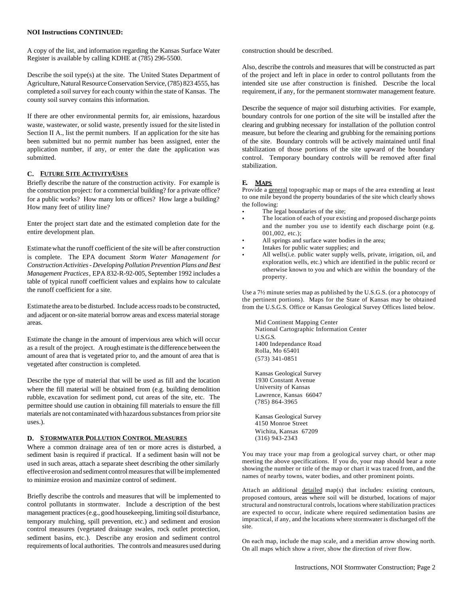#### **NOI Instructions CONTINUED:**

A copy of the list, and information regarding the Kansas Surface Water Register is available by calling KDHE at (785) 296-5500.

Describe the soil type(s) at the site. The United States Department of Agriculture, Natural Resource Conservation Service, (785) 823 4555, has completed a soil survey for each county within the state of Kansas. The county soil survey contains this information.

If there are other environmental permits for, air emissions, hazardous waste, wastewater, or solid waste, presently issued for the site listed in Section II A., list the permit numbers. If an application for the site has been submitted but no permit number has been assigned, enter the application number, if any, or enter the date the application was submitted.

## **C. FUTURE SITE ACTIVITY/USES**

Briefly describe the nature of the construction activity. For example is the construction project: for a commercial building? for a private office? for a public works? How many lots or offices? How large a building? How many feet of utility line?

Enter the project start date and the estimated completion date for the entire development plan.

Estimate what the runoff coefficient of the site will be after construction is complete. The EPA document *Storm Water Management for Construction Activities - Developing Pollution Prevention Plans and Best Management Practices*, EPA 832-R-92-005, September 1992 includes a table of typical runoff coefficient values and explains how to calculate the runoff coefficient for a site.

Estimate the area to be disturbed. Include access roads to be constructed, and adjacent or on-site material borrow areas and excess material storage areas.

Estimate the change in the amount of impervious area which will occur as a result of the project. A rough estimate is the difference between the amount of area that is vegetated prior to, and the amount of area that is vegetated after construction is completed.

Describe the type of material that will be used as fill and the location where the fill material will be obtained from (e.g. building demolition rubble, excavation for sediment pond, cut areas of the site, etc. The permittee should use caution in obtaining fill materials to ensure the fill materials are not contaminated with hazardous substances from prior site uses.).

#### **D. STORMWATER POLLUTION CONTROL MEASURES**

Where a common drainage area of ten or more acres is disturbed, a sediment basin is required if practical. If a sediment basin will not be used in such areas, attach a separate sheet describing the other similarly effective erosion and sediment control measures that will be implemented to minimize erosion and maximize control of sediment.

Briefly describe the controls and measures that will be implemented to control pollutants in stormwater. Include a description of the best management practices (e.g., good housekeeping, limiting soil disturbance, temporary mulching, spill prevention, etc.) and sediment and erosion control measures (vegetated drainage swales, rock outlet protection, sediment basins, etc.). Describe any erosion and sediment control requirements of local authorities. The controls and measures used during construction should be described.

Also, describe the controls and measures that will be constructed as part of the project and left in place in order to control pollutants from the intended site use after construction is finished. Describe the local requirement, if any, for the permanent stormwater management feature.

Describe the sequence of major soil disturbing activities. For example, boundary controls for one portion of the site will be installed after the clearing and grubbing necessary for installation of the pollution control measure, but before the clearing and grubbing for the remaining portions of the site. Boundary controls will be actively maintained until final stabilization of those portions of the site upward of the boundary control. Temporary boundary controls will be removed after final stabilization.

# **E. MAPS**

Provide a general topographic map or maps of the area extending at least to one mile beyond the property boundaries of the site which clearly shows the following:

- The legal boundaries of the site;
- The location of each of your existing and proposed discharge points and the number you use to identify each discharge point (e.g. 001,002, etc.);
- All springs and surface water bodies in the area;
- Intakes for public water supplies; and
- All wells(i.e. public water supply wells, private, irrigation, oil, and exploration wells, etc.) which are identified in the public record or otherwise known to you and which are within the boundary of the property.

Use a 7½ minute series map as published by the U.S.G.S. (or a photocopy of the pertinent portions). Maps for the State of Kansas may be obtained from the U.S.G.S. Office or Kansas Geological Survey Offices listed below.

Mid Continent Mapping Center National Cartographic Information Center U.S.G.S. 1400 Independance Road Rolla, Mo 65401 (573) 341-0851

Kansas Geological Survey 1930 Constant Avenue University of Kansas Lawrence, Kansas 66047 (785) 864-3965

Kansas Geological Survey 4150 Monroe Street Wichita, Kansas 67209 (316) 943-2343

You may trace your map from a geological survey chart, or other map meeting the above specifications. If you do, your map should bear a note showing the number or title of the map or chart it was traced from, and the names of nearby towns, water bodies, and other prominent points.

Attach an additional detailed map(s) that includes: existing contours, proposed contours, areas where soil will be disturbed, locations of major structural and nonstructural controls, locations where stabilization practices are expected to occur, indicate where required sedimentation basins are impractical, if any, and the locations where stormwater is discharged off the site.

On each map, include the map scale, and a meridian arrow showing north. On all maps which show a river, show the direction of river flow.